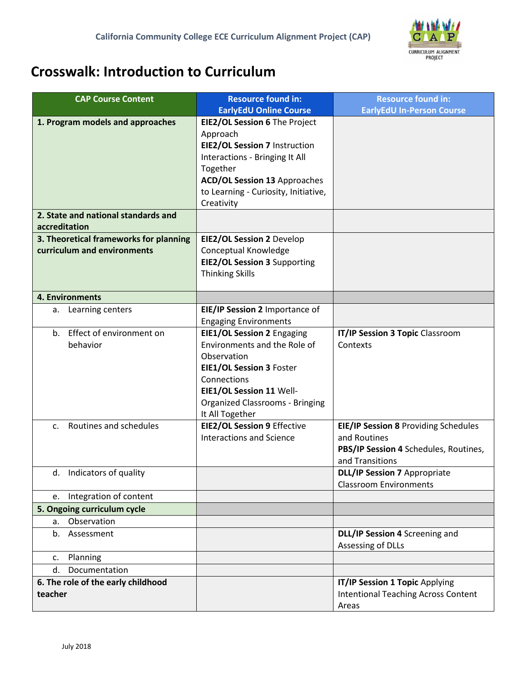

## **Crosswalk: Introduction to Curriculum**

| <b>CAP Course Content</b>                | <b>Resource found in:</b>              | <b>Resource found in:</b>                                            |  |
|------------------------------------------|----------------------------------------|----------------------------------------------------------------------|--|
|                                          | <b>EarlyEdU Online Course</b>          | <b>EarlyEdU In-Person Course</b>                                     |  |
| 1. Program models and approaches         | EIE2/OL Session 6 The Project          |                                                                      |  |
|                                          | Approach                               |                                                                      |  |
|                                          | EIE2/OL Session 7 Instruction          |                                                                      |  |
|                                          | Interactions - Bringing It All         |                                                                      |  |
|                                          | Together                               |                                                                      |  |
|                                          | <b>ACD/OL Session 13 Approaches</b>    |                                                                      |  |
|                                          | to Learning - Curiosity, Initiative,   |                                                                      |  |
|                                          | Creativity                             |                                                                      |  |
| 2. State and national standards and      |                                        |                                                                      |  |
| accreditation                            |                                        |                                                                      |  |
| 3. Theoretical frameworks for planning   | <b>EIE2/OL Session 2 Develop</b>       |                                                                      |  |
| curriculum and environments              | Conceptual Knowledge                   |                                                                      |  |
|                                          | <b>EIE2/OL Session 3 Supporting</b>    |                                                                      |  |
|                                          | <b>Thinking Skills</b>                 |                                                                      |  |
|                                          |                                        |                                                                      |  |
| 4. Environments                          |                                        |                                                                      |  |
| Learning centers<br>а.                   | EIE/IP Session 2 Importance of         |                                                                      |  |
|                                          | <b>Engaging Environments</b>           |                                                                      |  |
| b. Effect of environment on              | <b>EIE1/OL Session 2 Engaging</b>      | IT/IP Session 3 Topic Classroom                                      |  |
| behavior                                 | Environments and the Role of           | Contexts                                                             |  |
|                                          | Observation                            |                                                                      |  |
|                                          | EIE1/OL Session 3 Foster               |                                                                      |  |
|                                          | Connections                            |                                                                      |  |
|                                          | EIE1/OL Session 11 Well-               |                                                                      |  |
|                                          | <b>Organized Classrooms - Bringing</b> |                                                                      |  |
|                                          | It All Together                        |                                                                      |  |
| Routines and schedules<br>$\mathsf{C}$ . | <b>EIE2/OL Session 9 Effective</b>     | EIE/IP Session 8 Providing Schedules                                 |  |
|                                          | <b>Interactions and Science</b>        | and Routines                                                         |  |
|                                          |                                        | PBS/IP Session 4 Schedules, Routines,                                |  |
|                                          |                                        | and Transitions                                                      |  |
| d. Indicators of quality                 |                                        | <b>DLL/IP Session 7 Appropriate</b><br><b>Classroom Environments</b> |  |
| Integration of content<br>e.             |                                        |                                                                      |  |
| 5. Ongoing curriculum cycle              |                                        |                                                                      |  |
| Observation<br>a.                        |                                        |                                                                      |  |
|                                          |                                        | DLL/IP Session 4 Screening and                                       |  |
| b.<br>Assessment                         |                                        | Assessing of DLLs                                                    |  |
| Planning<br>c.                           |                                        |                                                                      |  |
| Documentation<br>d.                      |                                        |                                                                      |  |
| 6. The role of the early childhood       |                                        | IT/IP Session 1 Topic Applying                                       |  |
| teacher                                  |                                        | <b>Intentional Teaching Across Content</b>                           |  |
|                                          |                                        | Areas                                                                |  |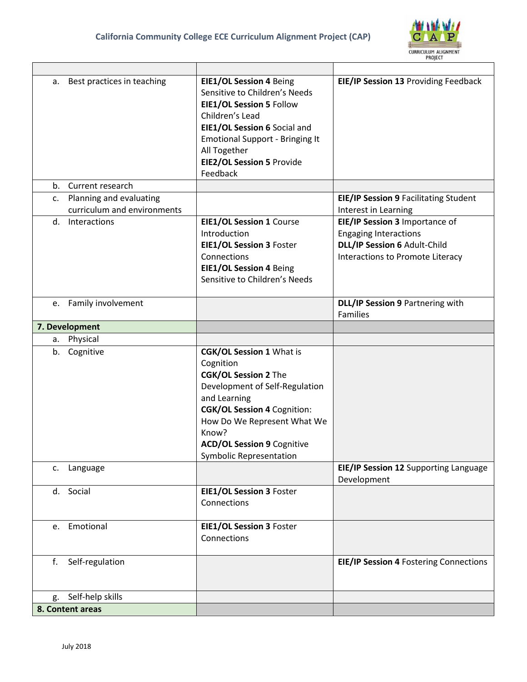

|    | a. Best practices in teaching | EIE1/OL Session 4 Being<br>Sensitive to Children's Needs<br>EIE1/OL Session 5 Follow<br>Children's Lead<br>EIE1/OL Session 6 Social and<br><b>Emotional Support - Bringing It</b><br>All Together<br><b>EIE2/OL Session 5 Provide</b><br>Feedback                                  | EIE/IP Session 13 Providing Feedback                                                                                               |
|----|-------------------------------|------------------------------------------------------------------------------------------------------------------------------------------------------------------------------------------------------------------------------------------------------------------------------------|------------------------------------------------------------------------------------------------------------------------------------|
|    | b. Current research           |                                                                                                                                                                                                                                                                                    |                                                                                                                                    |
| c. | Planning and evaluating       |                                                                                                                                                                                                                                                                                    | <b>EIE/IP Session 9 Facilitating Student</b>                                                                                       |
|    | curriculum and environments   |                                                                                                                                                                                                                                                                                    | Interest in Learning                                                                                                               |
|    | d. Interactions               | <b>EIE1/OL Session 1 Course</b><br>Introduction<br>EIE1/OL Session 3 Foster<br>Connections<br><b>EIE1/OL Session 4 Being</b><br>Sensitive to Children's Needs                                                                                                                      | EIE/IP Session 3 Importance of<br><b>Engaging Interactions</b><br>DLL/IP Session 6 Adult-Child<br>Interactions to Promote Literacy |
|    | e. Family involvement         |                                                                                                                                                                                                                                                                                    | DLL/IP Session 9 Partnering with<br><b>Families</b>                                                                                |
|    | 7. Development                |                                                                                                                                                                                                                                                                                    |                                                                                                                                    |
|    | a. Physical                   |                                                                                                                                                                                                                                                                                    |                                                                                                                                    |
|    | b. Cognitive                  | <b>CGK/OL Session 1 What is</b><br>Cognition<br><b>CGK/OL Session 2 The</b><br>Development of Self-Regulation<br>and Learning<br><b>CGK/OL Session 4 Cognition:</b><br>How Do We Represent What We<br>Know?<br><b>ACD/OL Session 9 Cognitive</b><br><b>Symbolic Representation</b> |                                                                                                                                    |
|    | c. Language                   |                                                                                                                                                                                                                                                                                    | EIE/IP Session 12 Supporting Language<br>Development                                                                               |
|    | d. Social                     | EIE1/OL Session 3 Foster<br>Connections                                                                                                                                                                                                                                            |                                                                                                                                    |
|    | e. Emotional                  | EIE1/OL Session 3 Foster<br>Connections                                                                                                                                                                                                                                            |                                                                                                                                    |
| f. | Self-regulation               |                                                                                                                                                                                                                                                                                    | <b>EIE/IP Session 4 Fostering Connections</b>                                                                                      |
| g. | Self-help skills              |                                                                                                                                                                                                                                                                                    |                                                                                                                                    |
|    | 8. Content areas              |                                                                                                                                                                                                                                                                                    |                                                                                                                                    |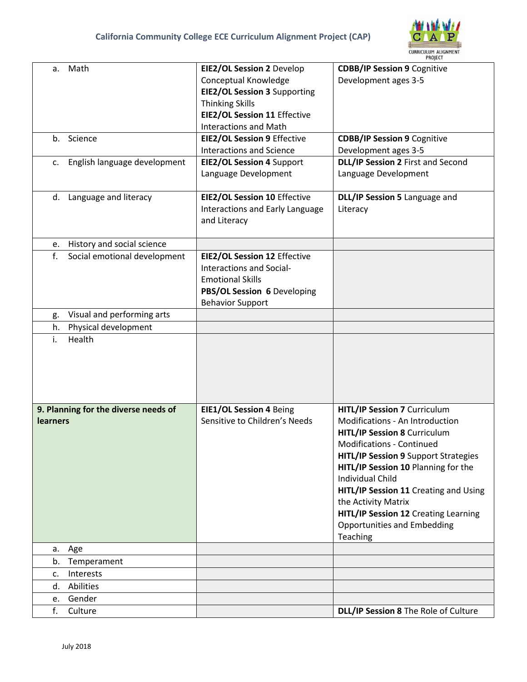

| a.              | Math                                 | <b>EIE2/OL Session 2 Develop</b>    | <b>CDBB/IP Session 9 Cognitive</b>                             |  |
|-----------------|--------------------------------------|-------------------------------------|----------------------------------------------------------------|--|
|                 |                                      | Conceptual Knowledge                | Development ages 3-5                                           |  |
|                 |                                      | <b>EIE2/OL Session 3 Supporting</b> |                                                                |  |
|                 |                                      | <b>Thinking Skills</b>              |                                                                |  |
|                 |                                      | <b>EIE2/OL Session 11 Effective</b> |                                                                |  |
|                 |                                      | <b>Interactions and Math</b>        |                                                                |  |
|                 |                                      |                                     |                                                                |  |
|                 | b. Science                           | <b>EIE2/OL Session 9 Effective</b>  | <b>CDBB/IP Session 9 Cognitive</b>                             |  |
|                 |                                      | <b>Interactions and Science</b>     | Development ages 3-5                                           |  |
|                 | c. English language development      | <b>EIE2/OL Session 4 Support</b>    | DLL/IP Session 2 First and Second                              |  |
|                 |                                      | Language Development                | Language Development                                           |  |
|                 |                                      |                                     |                                                                |  |
|                 | d. Language and literacy             | <b>EIE2/OL Session 10 Effective</b> | DLL/IP Session 5 Language and                                  |  |
|                 |                                      | Interactions and Early Language     | Literacy                                                       |  |
|                 |                                      | and Literacy                        |                                                                |  |
|                 |                                      |                                     |                                                                |  |
| e.              | History and social science           |                                     |                                                                |  |
| f.              | Social emotional development         | <b>EIE2/OL Session 12 Effective</b> |                                                                |  |
|                 |                                      | Interactions and Social-            |                                                                |  |
|                 |                                      | <b>Emotional Skills</b>             |                                                                |  |
|                 |                                      | PBS/OL Session 6 Developing         |                                                                |  |
|                 |                                      | <b>Behavior Support</b>             |                                                                |  |
| g.              | Visual and performing arts           |                                     |                                                                |  |
| h.              | Physical development                 |                                     |                                                                |  |
| i.              | Health                               |                                     |                                                                |  |
|                 |                                      |                                     |                                                                |  |
|                 |                                      |                                     |                                                                |  |
|                 |                                      |                                     |                                                                |  |
|                 |                                      |                                     |                                                                |  |
|                 | 9. Planning for the diverse needs of | <b>EIE1/OL Session 4 Being</b>      | HITL/IP Session 7 Curriculum                                   |  |
| <b>learners</b> |                                      | Sensitive to Children's Needs       | <b>Modifications - An Introduction</b>                         |  |
|                 |                                      |                                     | <b>HITL/IP Session 8 Curriculum</b>                            |  |
|                 |                                      |                                     | Modifications - Continued                                      |  |
|                 |                                      |                                     |                                                                |  |
|                 |                                      |                                     | <b>HITL/IP Session 9 Support Strategies</b>                    |  |
|                 |                                      |                                     | HITL/IP Session 10 Planning for the<br><b>Individual Child</b> |  |
|                 |                                      |                                     |                                                                |  |
|                 |                                      |                                     | HITL/IP Session 11 Creating and Using                          |  |
|                 |                                      |                                     | the Activity Matrix                                            |  |
|                 |                                      |                                     | HITL/IP Session 12 Creating Learning                           |  |
|                 |                                      |                                     | <b>Opportunities and Embedding</b>                             |  |
|                 |                                      |                                     | Teaching                                                       |  |
|                 | a. Age                               |                                     |                                                                |  |
| b.              | Temperament                          |                                     |                                                                |  |
| c.              | Interests                            |                                     |                                                                |  |
|                 | d. Abilities                         |                                     |                                                                |  |
| e.              | Gender                               |                                     |                                                                |  |
| f.              | Culture                              |                                     | DLL/IP Session 8 The Role of Culture                           |  |